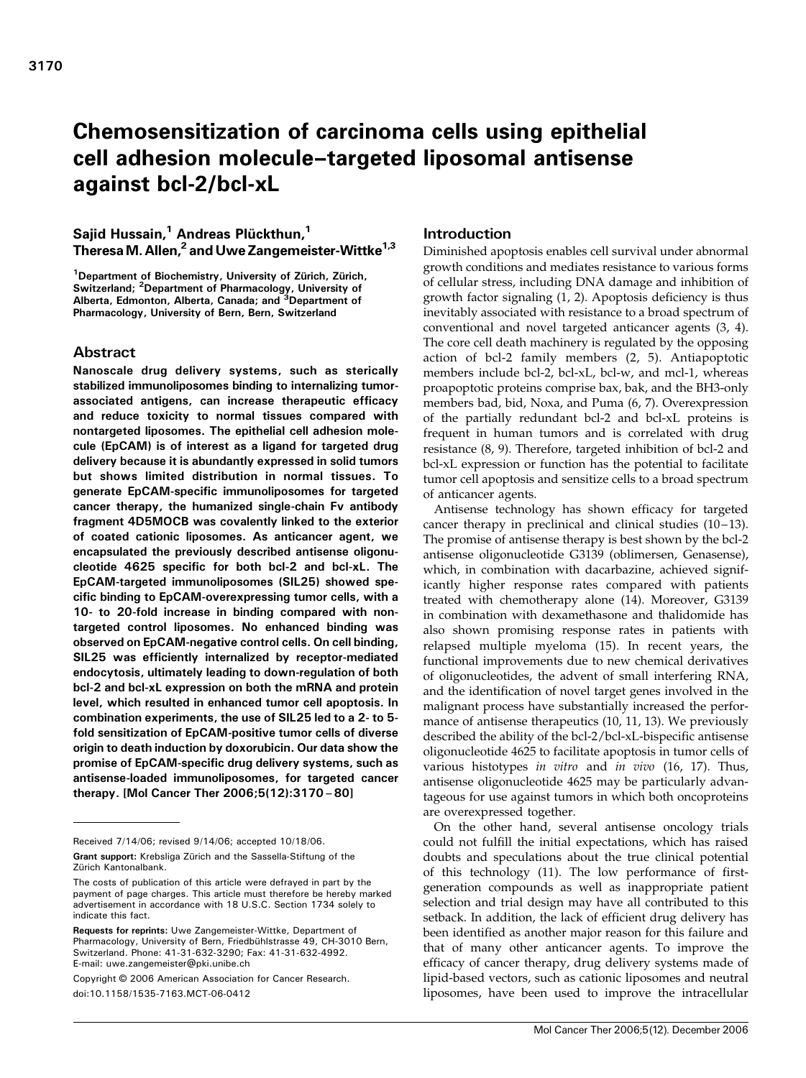# Chemosensitization of carcinoma cells using epithelial cell adhesion molecule–targeted liposomal antisense against bcl-2/bcl-xL

# Sajid Hussain,<sup>1</sup> Andreas Plückthun,<sup>1</sup> Theresa M. Allen,<sup>2</sup> and Uwe Zangemeister-Wittke<sup>1,3</sup>

<sup>1</sup>Department of Biochemistry, University of Zürich, Zürich, Switzerland; <sup>2</sup>Department of Pharmacology, University of<br>Alberta, Edmonton, Alberta, Canada; and <sup>3</sup>Department of Pharmacology, University of Bern, Bern, Switzerland

# Abstract

Nanoscale drug delivery systems, such as sterically stabilized immunoliposomes binding to internalizing tumorassociated antigens, can increase therapeutic efficacy and reduce toxicity to normal tissues compared with nontargeted liposomes. The epithelial cell adhesion molecule (EpCAM) is of interest as a ligand for targeted drug delivery because it is abundantly expressed in solid tumors but shows limited distribution in normal tissues. To generate EpCAM-specific immunoliposomes for targeted cancer therapy, the humanized single-chain Fv antibody fragment 4D5MOCB was covalently linked to the exterior of coated cationic liposomes. As anticancer agent, we encapsulated the previously described antisense oligonucleotide 4625 specific for both bcl-2 and bcl-xL. The EpCAM-targeted immunoliposomes (SIL25) showed specific binding to EpCAM-overexpressing tumor cells, with a 10- to 20-fold increase in binding compared with nontargeted control liposomes. No enhanced binding was observed on EpCAM-negative control cells. On cell binding, SIL25 was efficiently internalized by receptor-mediated endocytosis, ultimately leading to down-regulation of both bcl-2 and bcl-xL expression on both the mRNA and protein level, which resulted in enhanced tumor cell apoptosis. In combination experiments, the use of SIL25 led to a 2- to 5 fold sensitization of EpCAM-positive tumor cells of diverse origin to death induction by doxorubicin. Our data show the promise of EpCAM-specific drug delivery systems, such as antisense-loaded immunoliposomes, for targeted cancer therapy. [Mol Cancer Ther 2006;5(12):3170–80]

Copyright © 2006 American Association for Cancer Research. doi:10.1158/1535-7163.MCT-06-0412

# Introduction

Diminished apoptosis enables cell survival under abnormal growth conditions and mediates resistance to various forms of cellular stress, including DNA damage and inhibition of growth factor signaling (1, 2). Apoptosis deficiency is thus inevitably associated with resistance to a broad spectrum of conventional and novel targeted anticancer agents (3, 4). The core cell death machinery is regulated by the opposing action of bcl-2 family members (2, 5). Antiapoptotic members include bcl-2, bcl-xL, bcl-w, and mcl-1, whereas proapoptotic proteins comprise bax, bak, and the BH3-only members bad, bid, Noxa, and Puma (6, 7). Overexpression of the partially redundant bcl-2 and bcl-xL proteins is frequent in human tumors and is correlated with drug resistance (8, 9). Therefore, targeted inhibition of bcl-2 and bcl-xL expression or function has the potential to facilitate tumor cell apoptosis and sensitize cells to a broad spectrum of anticancer agents.

Antisense technology has shown efficacy for targeted cancer therapy in preclinical and clinical studies  $(10-13)$ . The promise of antisense therapy is best shown by the bcl-2 antisense oligonucleotide G3139 (oblimersen, Genasense), which, in combination with dacarbazine, achieved significantly higher response rates compared with patients treated with chemotherapy alone (14). Moreover, G3139 in combination with dexamethasone and thalidomide has also shown promising response rates in patients with relapsed multiple myeloma (15). In recent years, the functional improvements due to new chemical derivatives of oligonucleotides, the advent of small interfering RNA, and the identification of novel target genes involved in the malignant process have substantially increased the performance of antisense therapeutics (10, 11, 13). We previously described the ability of the bcl-2/bcl-xL-bispecific antisense oligonucleotide 4625 to facilitate apoptosis in tumor cells of various histotypes in vitro and in vivo (16, 17). Thus, antisense oligonucleotide 4625 may be particularly advantageous for use against tumors in which both oncoproteins are overexpressed together.

On the other hand, several antisense oncology trials could not fulfill the initial expectations, which has raised doubts and speculations about the true clinical potential of this technology (11). The low performance of firstgeneration compounds as well as inappropriate patient selection and trial design may have all contributed to this setback. In addition, the lack of efficient drug delivery has been identified as another major reason for this failure and that of many other anticancer agents. To improve the efficacy of cancer therapy, drug delivery systems made of lipid-based vectors, such as cationic liposomes and neutral liposomes, have been used to improve the intracellular

Received 7/14/06; revised 9/14/06; accepted 10/18/06.

Grant support: Krebsliga Zürich and the Sassella-Stiftung of the Zürich Kantonalbank.

The costs of publication of this article were defrayed in part by the payment of page charges. This article must therefore be hereby marked advertisement in accordance with 18 U.S.C. Section 1734 solely to indicate this fact.

Requests for reprints: Uwe Zangemeister-Wittke, Department of Pharmacology, University of Bern, Friedbühlstrasse 49, CH-3010 Bern, Switzerland. Phone: 41-31-632-3290; Fax: 41-31-632-4992. E-mail: uwe.zangemeister@pki.unibe.ch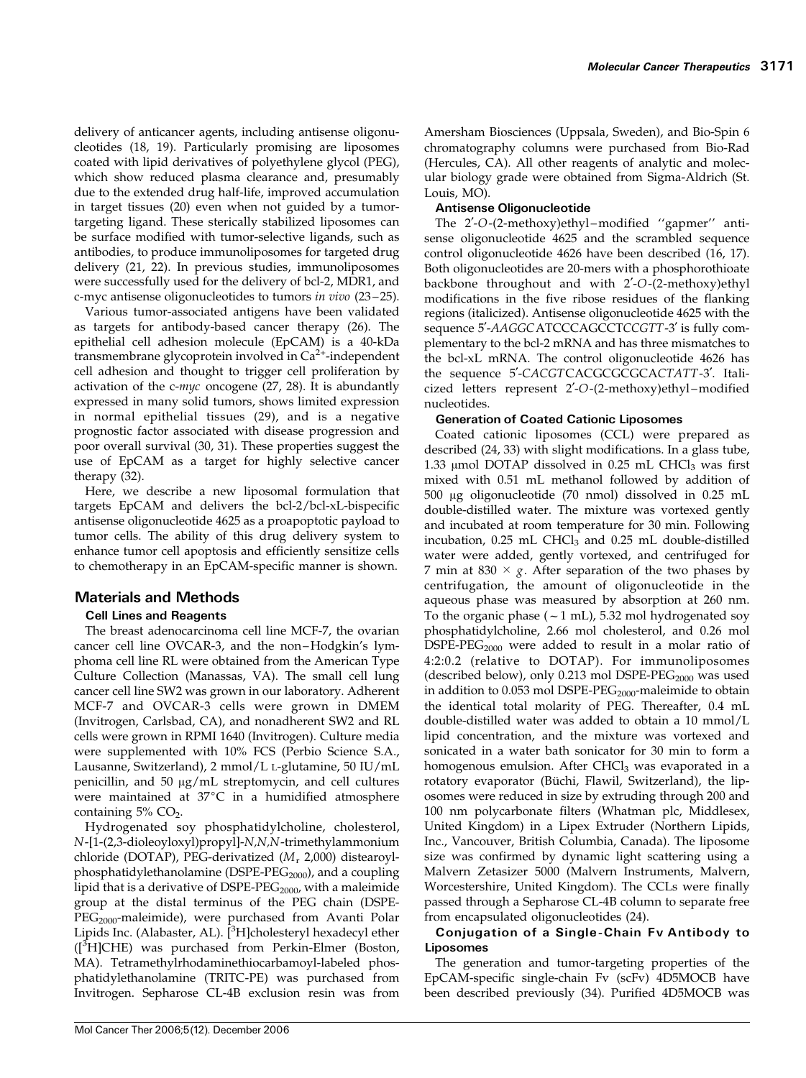Molecular Cancer Therapeutics 3171

delivery of anticancer agents, including antisense oligonucleotides (18, 19). Particularly promising are liposomes coated with lipid derivatives of polyethylene glycol (PEG), which show reduced plasma clearance and, presumably due to the extended drug half-life, improved accumulation in target tissues (20) even when not guided by a tumortargeting ligand. These sterically stabilized liposomes can be surface modified with tumor-selective ligands, such as antibodies, to produce immunoliposomes for targeted drug delivery (21, 22). In previous studies, immunoliposomes were successfully used for the delivery of bcl-2, MDR1, and c-myc antisense oligonucleotides to tumors in vivo (23 – 25).

Various tumor-associated antigens have been validated as targets for antibody-based cancer therapy (26). The epithelial cell adhesion molecule (EpCAM) is a 40-kDa transmembrane glycoprotein involved in  $Ca<sup>2+</sup>$ -independent cell adhesion and thought to trigger cell proliferation by activation of the c-myc oncogene (27, 28). It is abundantly expressed in many solid tumors, shows limited expression in normal epithelial tissues (29), and is a negative prognostic factor associated with disease progression and poor overall survival (30, 31). These properties suggest the use of EpCAM as a target for highly selective cancer therapy (32).

Here, we describe a new liposomal formulation that targets EpCAM and delivers the bcl-2/bcl-xL-bispecific antisense oligonucleotide 4625 as a proapoptotic payload to tumor cells. The ability of this drug delivery system to enhance tumor cell apoptosis and efficiently sensitize cells to chemotherapy in an EpCAM-specific manner is shown.

# Materials and Methods

# Cell Lines and Reagents

The breast adenocarcinoma cell line MCF-7, the ovarian cancer cell line OVCAR-3, and the non –Hodgkin's lymphoma cell line RL were obtained from the American Type Culture Collection (Manassas, VA). The small cell lung cancer cell line SW2 was grown in our laboratory. Adherent MCF-7 and OVCAR-3 cells were grown in DMEM (Invitrogen, Carlsbad, CA), and nonadherent SW2 and RL cells were grown in RPMI 1640 (Invitrogen). Culture media were supplemented with 10% FCS (Perbio Science S.A., Lausanne, Switzerland), 2 mmol/L L-glutamine, 50 IU/mL penicillin, and 50  $\mu$ g/mL streptomycin, and cell cultures were maintained at  $37^{\circ}$ C in a humidified atmosphere containing  $5\%$  CO<sub>2</sub>.

Hydrogenated soy phosphatidylcholine, cholesterol, N-[1-(2,3-dioleoyloxyl)propyl]-N,N,N-trimethylammonium chloride (DOTAP), PEG-derivatized  $(M_r 2,000)$  distearoylphosphatidylethanolamine (DSPE-PE $G_{2000}$ ), and a coupling lipid that is a derivative of DSPE-PE $G_{2000}$ , with a maleimide group at the distal terminus of the PEG chain (DSPE-PEG<sub>2000</sub>-maleimide), were purchased from Avanti Polar Lipids Inc. (Alabaster, AL). [<sup>3</sup>H]cholesteryl hexadecyl ether ([<sup>3</sup>H]CHE) was purchased from Perkin-Elmer (Boston, MA). Tetramethylrhodaminethiocarbamoyl-labeled phosphatidylethanolamine (TRITC-PE) was purchased from Invitrogen. Sepharose CL-4B exclusion resin was from Amersham Biosciences (Uppsala, Sweden), and Bio-Spin 6 chromatography columns were purchased from Bio-Rad (Hercules, CA). All other reagents of analytic and molecular biology grade were obtained from Sigma-Aldrich (St. Louis, MO).

# Antisense Oligonucleotide

The 2'-O-(2-methoxy)ethyl-modified "gapmer" antisense oligonucleotide 4625 and the scrambled sequence control oligonucleotide 4626 have been described (16, 17). Both oligonucleotides are 20-mers with a phosphorothioate backbone throughout and with 2'-O-(2-methoxy)ethyl modifications in the five ribose residues of the flanking regions (italicized). Antisense oligonucleotide 4625 with the sequence 5'-AAGGCATCCCAGCCTCCGTT-3' is fully complementary to the bcl-2 mRNA and has three mismatches to the bcl-xL mRNA. The control oligonucleotide 4626 has the sequence 5'-CACGTCACGCGCGCACTATT-3'. Italicized letters represent 2'-O-(2-methoxy)ethyl-modified nucleotides.

# Generation of Coated Cationic Liposomes

Coated cationic liposomes (CCL) were prepared as described (24, 33) with slight modifications. In a glass tube, 1.33  $\mu$ mol DOTAP dissolved in 0.25 mL CHCl<sub>3</sub> was first mixed with 0.51 mL methanol followed by addition of 500 Ag oligonucleotide (70 nmol) dissolved in 0.25 mL double-distilled water. The mixture was vortexed gently and incubated at room temperature for 30 min. Following incubation,  $0.25$  mL CHCl<sub>3</sub> and  $0.25$  mL double-distilled water were added, gently vortexed, and centrifuged for 7 min at 830  $\times$  g. After separation of the two phases by centrifugation, the amount of oligonucleotide in the aqueous phase was measured by absorption at 260 nm. To the organic phase  $(-1 \text{ mL})$ , 5.32 mol hydrogenated soy phosphatidylcholine, 2.66 mol cholesterol, and 0.26 mol DSPE-PE $G_{2000}$  were added to result in a molar ratio of 4:2:0.2 (relative to DOTAP). For immunoliposomes (described below), only  $0.213$  mol DSPE-PEG<sub>2000</sub> was used in addition to  $0.053$  mol DSPE-PE $G_{2000}$ -maleimide to obtain the identical total molarity of PEG. Thereafter, 0.4mL double-distilled water was added to obtain a 10 mmol/L lipid concentration, and the mixture was vortexed and sonicated in a water bath sonicator for 30 min to form a homogenous emulsion. After CHCl<sub>3</sub> was evaporated in a rotatory evaporator (Büchi, Flawil, Switzerland), the liposomes were reduced in size by extruding through 200 and 100 nm polycarbonate filters (Whatman plc, Middlesex, United Kingdom) in a Lipex Extruder (Northern Lipids, Inc., Vancouver, British Columbia, Canada). The liposome size was confirmed by dynamic light scattering using a Malvern Zetasizer 5000 (Malvern Instruments, Malvern, Worcestershire, United Kingdom). The CCLs were finally passed through a Sepharose CL-4B column to separate free from encapsulated oligonucleotides (24).

# Conjugation of a Single-Chain Fv Antibody to Liposomes

The generation and tumor-targeting properties of the EpCAM-specific single-chain Fv (scFv) 4D5MOCB have been described previously (34). Purified 4D5MOCB was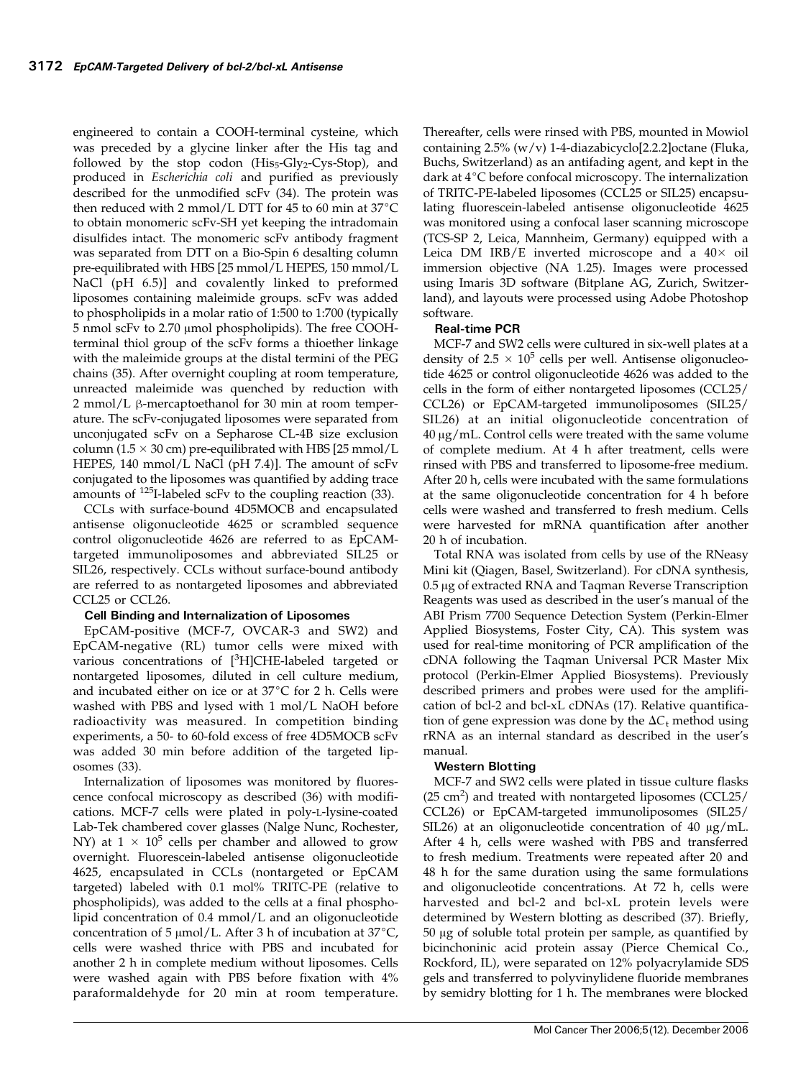engineered to contain a COOH-terminal cysteine, which was preceded by a glycine linker after the His tag and followed by the stop codon  $(His_5-Gly_2-Cys-Stop)$ , and produced in Escherichia coli and purified as previously described for the unmodified scFv (34). The protein was then reduced with 2 mmol/L DTT for 45 to 60 min at  $37^{\circ}$ C to obtain monomeric scFv-SH yet keeping the intradomain disulfides intact. The monomeric scFv antibody fragment was separated from DTT on a Bio-Spin 6 desalting column pre-equilibrated with HBS [25 mmol/L HEPES, 150 mmol/L NaCl (pH 6.5)] and covalently linked to preformed liposomes containing maleimide groups. scFv was added to phospholipids in a molar ratio of 1:500 to 1:700 (typically 5 nmol scFv to 2.70 μmol phospholipids). The free COOHterminal thiol group of the scFv forms a thioether linkage with the maleimide groups at the distal termini of the PEG chains (35). After overnight coupling at room temperature, unreacted maleimide was quenched by reduction with 2 mmol/L β-mercaptoethanol for 30 min at room temperature. The scFv-conjugated liposomes were separated from unconjugated scFv on a Sepharose CL-4B size exclusion column ( $1.5 \times 30$  cm) pre-equilibrated with HBS [25 mmol/L HEPES, 140 mmol/L NaCl (pH 7.4)]. The amount of scFv conjugated to the liposomes was quantified by adding trace amounts of  $^{125}$ I-labeled scFv to the coupling reaction (33).

CCLs with surface-bound 4D5MOCB and encapsulated antisense oligonucleotide 4625 or scrambled sequence control oligonucleotide 4626 are referred to as EpCAMtargeted immunoliposomes and abbreviated SIL25 or SIL26, respectively. CCLs without surface-bound antibody are referred to as nontargeted liposomes and abbreviated CCL25 or CCL26.

# Cell Binding and Internalization of Liposomes

EpCAM-positive (MCF-7, OVCAR-3 and SW2) and EpCAM-negative (RL) tumor cells were mixed with various concentrations of [<sup>3</sup>H]CHE-labeled targeted or nontargeted liposomes, diluted in cell culture medium, and incubated either on ice or at  $37^{\circ}$ C for 2 h. Cells were washed with PBS and lysed with 1 mol/L NaOH before radioactivity was measured. In competition binding experiments, a 50- to 60-fold excess of free 4D5MOCB scFv was added 30 min before addition of the targeted liposomes (33).

Internalization of liposomes was monitored by fluorescence confocal microscopy as described (36) with modifications. MCF-7 cells were plated in poly-L-lysine-coated Lab-Tek chambered cover glasses (Nalge Nunc, Rochester, NY) at  $1 \times 10^5$  cells per chamber and allowed to grow overnight. Fluorescein-labeled antisense oligonucleotide 4625, encapsulated in CCLs (nontargeted or EpCAM targeted) labeled with 0.1 mol% TRITC-PE (relative to phospholipids), was added to the cells at a final phospholipid concentration of 0.4mmol/L and an oligonucleotide concentration of 5  $\mu$ mol/L. After 3 h of incubation at 37°C, cells were washed thrice with PBS and incubated for another 2 h in complete medium without liposomes. Cells were washed again with PBS before fixation with 4% paraformaldehyde for 20 min at room temperature.

Thereafter, cells were rinsed with PBS, mounted in Mowiol containing 2.5% (w/v) 1-4-diazabicyclo[2.2.2]octane (Fluka, Buchs, Switzerland) as an antifading agent, and kept in the dark at  $4^{\circ}$ C before confocal microscopy. The internalization of TRITC-PE-labeled liposomes (CCL25 or SIL25) encapsulating fluorescein-labeled antisense oligonucleotide 4625 was monitored using a confocal laser scanning microscope (TCS-SP 2, Leica, Mannheim, Germany) equipped with a Leica DM IRB/E inverted microscope and a  $40\times$  oil immersion objective (NA 1.25). Images were processed using Imaris 3D software (Bitplane AG, Zurich, Switzerland), and layouts were processed using Adobe Photoshop software.

# Real-time PCR

MCF-7 and SW2 cells were cultured in six-well plates at a density of  $2.5 \times 10^5$  cells per well. Antisense oligonucleotide 4625 or control oligonucleotide 4626 was added to the cells in the form of either nontargeted liposomes (CCL25/ CCL26) or EpCAM-targeted immunoliposomes (SIL25/ SIL26) at an initial oligonucleotide concentration of  $40 \mu g/mL$ . Control cells were treated with the same volume of complete medium. At 4h after treatment, cells were rinsed with PBS and transferred to liposome-free medium. After 20 h, cells were incubated with the same formulations at the same oligonucleotide concentration for 4h before cells were washed and transferred to fresh medium. Cells were harvested for mRNA quantification after another 20 h of incubation.

Total RNA was isolated from cells by use of the RNeasy Mini kit (Qiagen, Basel, Switzerland). For cDNA synthesis,  $0.5 \,\mu$ g of extracted RNA and Taqman Reverse Transcription Reagents was used as described in the user's manual of the ABI Prism 7700 Sequence Detection System (Perkin-Elmer Applied Biosystems, Foster City, CA). This system was used for real-time monitoring of PCR amplification of the cDNA following the Taqman Universal PCR Master Mix protocol (Perkin-Elmer Applied Biosystems). Previously described primers and probes were used for the amplification of bcl-2 and bcl-xL cDNAs (17). Relative quantification of gene expression was done by the  $\Delta C_t$  method using rRNA as an internal standard as described in the user's manual.

# Western Blotting

MCF-7 and SW2 cells were plated in tissue culture flasks  $(25 \text{ cm}^2)$  and treated with nontargeted liposomes (CCL25/ CCL26) or EpCAM-targeted immunoliposomes (SIL25/ SIL26) at an oligonucleotide concentration of 40  $\mu$ g/mL. After 4h, cells were washed with PBS and transferred to fresh medium. Treatments were repeated after 20 and 48 h for the same duration using the same formulations and oligonucleotide concentrations. At 72 h, cells were harvested and bcl-2 and bcl-xL protein levels were determined by Western blotting as described (37). Briefly,  $50 \mu g$  of soluble total protein per sample, as quantified by bicinchoninic acid protein assay (Pierce Chemical Co., Rockford, IL), were separated on 12% polyacrylamide SDS gels and transferred to polyvinylidene fluoride membranes by semidry blotting for 1 h. The membranes were blocked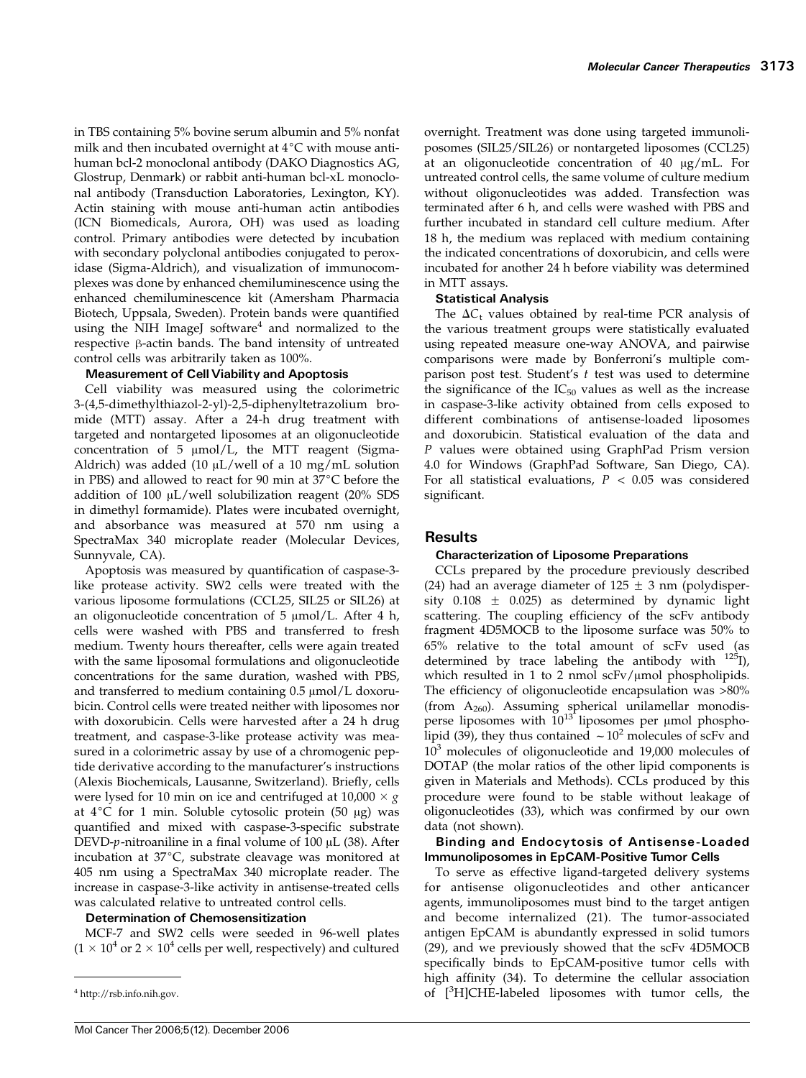in TBS containing 5% bovine serum albumin and 5% nonfat milk and then incubated overnight at  $4^{\circ}C$  with mouse antihuman bcl-2 monoclonal antibody (DAKO Diagnostics AG, Glostrup, Denmark) or rabbit anti-human bcl-xL monoclonal antibody (Transduction Laboratories, Lexington, KY). Actin staining with mouse anti-human actin antibodies (ICN Biomedicals, Aurora, OH) was used as loading control. Primary antibodies were detected by incubation with secondary polyclonal antibodies conjugated to peroxidase (Sigma-Aldrich), and visualization of immunocomplexes was done by enhanced chemiluminescence using the enhanced chemiluminescence kit (Amersham Pharmacia Biotech, Uppsala, Sweden). Protein bands were quantified using the NIH ImageJ software $4$  and normalized to the  $r$ espective  $\beta$ -actin bands. The band intensity of untreated control cells was arbitrarily taken as 100%.

# Measurement of Cell Viability and Apoptosis

Cell viability was measured using the colorimetric 3-(4,5-dimethylthiazol-2-yl)-2,5-diphenyltetrazolium bromide (MTT) assay. After a 24-h drug treatment with targeted and nontargeted liposomes at an oligonucleotide concentration of  $5 \text{ }\mu\text{mol/L}$ , the MTT reagent (Sigma-Aldrich) was added (10  $\mu$ L/well of a 10 mg/mL solution in PBS) and allowed to react for 90 min at  $37^{\circ}$ C before the addition of 100  $\mu$ L/well solubilization reagent (20% SDS in dimethyl formamide). Plates were incubated overnight, and absorbance was measured at 570 nm using a SpectraMax 340 microplate reader (Molecular Devices, Sunnyvale, CA).

Apoptosis was measured by quantification of caspase-3 like protease activity. SW2 cells were treated with the various liposome formulations (CCL25, SIL25 or SIL26) at an oligonucleotide concentration of  $5 \mu$ mol/L. After 4 h, cells were washed with PBS and transferred to fresh medium. Twenty hours thereafter, cells were again treated with the same liposomal formulations and oligonucleotide concentrations for the same duration, washed with PBS, and transferred to medium containing  $0.5 \mu$ mol/L doxorubicin. Control cells were treated neither with liposomes nor with doxorubicin. Cells were harvested after a 24 h drug treatment, and caspase-3-like protease activity was measured in a colorimetric assay by use of a chromogenic peptide derivative according to the manufacturer's instructions (Alexis Biochemicals, Lausanne, Switzerland). Briefly, cells were lysed for 10 min on ice and centrifuged at  $10,000 \times g$ at  $4^{\circ}C$  for 1 min. Soluble cytosolic protein (50  $\mu$ g) was quantified and mixed with caspase-3-specific substrate DEVD- $p$ -nitroaniline in a final volume of 100  $\mu$ L (38). After incubation at  $37^{\circ}$ C, substrate cleavage was monitored at 405 nm using a SpectraMax 340 microplate reader. The increase in caspase-3-like activity in antisense-treated cells was calculated relative to untreated control cells.

# Determination of Chemosensitization

MCF-7 and SW2 cells were seeded in 96-well plates  $(1 \times 10^4 \text{ or } 2 \times 10^4 \text{ cells per well, respectively})$  and cultured overnight. Treatment was done using targeted immunoliposomes (SIL25/SIL26) or nontargeted liposomes (CCL25) at an oligonucleotide concentration of  $40 \mu g/mL$ . For untreated control cells, the same volume of culture medium without oligonucleotides was added. Transfection was terminated after 6 h, and cells were washed with PBS and further incubated in standard cell culture medium. After 18 h, the medium was replaced with medium containing the indicated concentrations of doxorubicin, and cells were incubated for another 24 h before viability was determined in MTT assays.

#### Statistical Analysis

The  $\Delta C_t$  values obtained by real-time PCR analysis of the various treatment groups were statistically evaluated using repeated measure one-way ANOVA, and pairwise comparisons were made by Bonferroni's multiple comparison post test. Student's  $t$  test was used to determine the significance of the  $IC_{50}$  values as well as the increase in caspase-3-like activity obtained from cells exposed to different combinations of antisense-loaded liposomes and doxorubicin. Statistical evaluation of the data and P values were obtained using GraphPad Prism version 4.0 for Windows (GraphPad Software, San Diego, CA). For all statistical evaluations,  $P < 0.05$  was considered significant.

# Results

# Characterization of Liposome Preparations

CCLs prepared by the procedure previously described (24) had an average diameter of  $125 \pm 3$  nm (polydispersity  $0.108 \pm 0.025$ ) as determined by dynamic light scattering. The coupling efficiency of the scFv antibody fragment 4D5MOCB to the liposome surface was 50% to 65% relative to the total amount of scFv used (as determined by trace labeling the antibody with  $^{125}$ I), which resulted in 1 to 2 nmol  $scFv/\mu$ mol phospholipids. The efficiency of oligonucleotide encapsulation was >80% (from  $A_{260}$ ). Assuming spherical unilamellar monodisperse liposomes with  $10^{13}$  liposomes per µmol phospholipid (39), they thus contained  $\sim 10^2$  molecules of scFv and  $10<sup>3</sup>$  molecules of oligonucleotide and 19,000 molecules of DOTAP (the molar ratios of the other lipid components is given in Materials and Methods). CCLs produced by this procedure were found to be stable without leakage of oligonucleotides (33), which was confirmed by our own data (not shown).

Binding and Endocytosis of Antisense-Loaded Immunoliposomes in EpCAM-Positive Tumor Cells

To serve as effective ligand-targeted delivery systems for antisense oligonucleotides and other anticancer agents, immunoliposomes must bind to the target antigen and become internalized (21). The tumor-associated antigen EpCAM is abundantly expressed in solid tumors (29), and we previously showed that the scFv 4D5MOCB specifically binds to EpCAM-positive tumor cells with high affinity (34). To determine the cellular association  $^{4}$  http://rsb.info.nih.gov.  $^{4}$  http://rsb.info.nih.gov.  $^{4}$  http://rsb.info.nih.gov.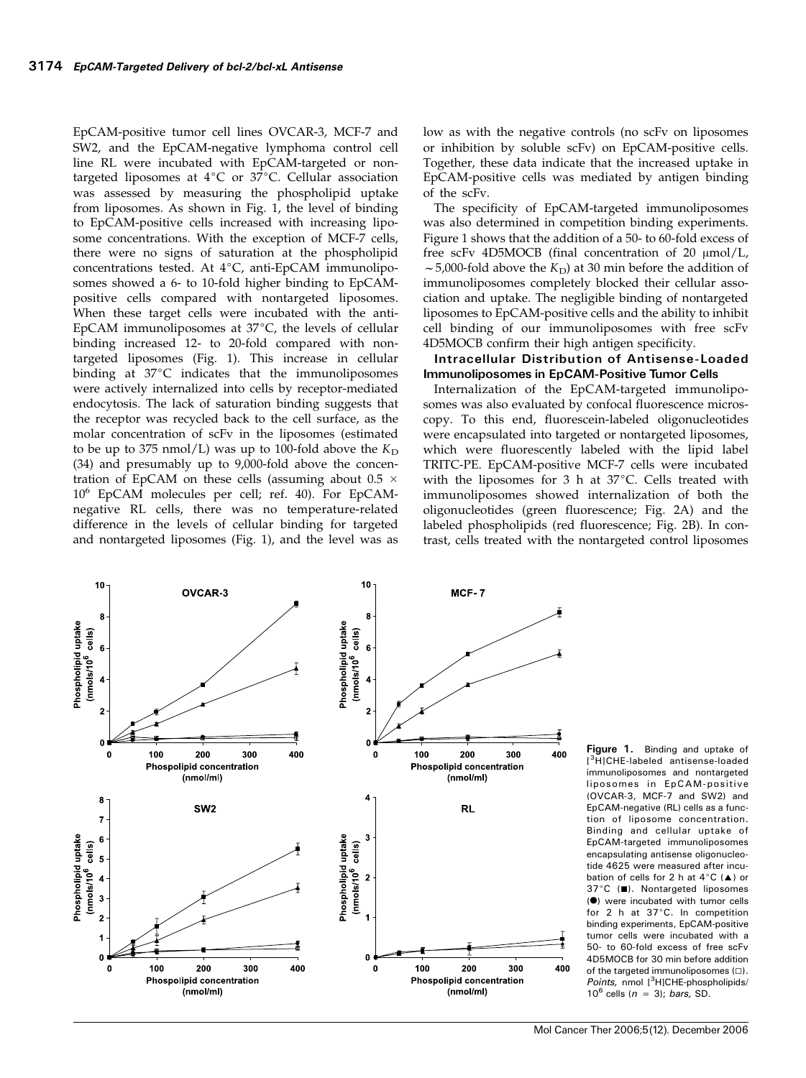EpCAM-positive tumor cell lines OVCAR-3, MCF-7 and SW2, and the EpCAM-negative lymphoma control cell line RL were incubated with EpCAM-targeted or nontargeted liposomes at  $4^{\circ}C$  or  $37^{\circ}C$ . Cellular association was assessed by measuring the phospholipid uptake from liposomes. As shown in Fig. 1, the level of binding to EpCAM-positive cells increased with increasing liposome concentrations. With the exception of MCF-7 cells, there were no signs of saturation at the phospholipid concentrations tested. At  $4^{\circ}C$ , anti-EpCAM immunoliposomes showed a 6- to 10-fold higher binding to EpCAMpositive cells compared with nontargeted liposomes. When these target cells were incubated with the anti-EpCAM immunoliposomes at  $37^{\circ}$ C, the levels of cellular binding increased 12- to 20-fold compared with nontargeted liposomes (Fig. 1). This increase in cellular binding at  $37^{\circ}$ C indicates that the immunoliposomes were actively internalized into cells by receptor-mediated endocytosis. The lack of saturation binding suggests that the receptor was recycled back to the cell surface, as the molar concentration of scFv in the liposomes (estimated to be up to 375 nmol/L) was up to 100-fold above the  $K_D$ (34) and presumably up to 9,000-fold above the concentration of EpCAM on these cells (assuming about  $0.5 \times$  $10^6$  EpCAM molecules per cell; ref. 40). For EpCAMnegative RL cells, there was no temperature-related difference in the levels of cellular binding for targeted and nontargeted liposomes (Fig. 1), and the level was as low as with the negative controls (no scFv on liposomes or inhibition by soluble scFv) on EpCAM-positive cells. Together, these data indicate that the increased uptake in EpCAM-positive cells was mediated by antigen binding of the scFv.

The specificity of EpCAM-targeted immunoliposomes was also determined in competition binding experiments. Figure 1 shows that the addition of a 50- to 60-fold excess of free scFv 4D5MOCB (final concentration of 20  $\mu$ mol/L,  $\sim$  5,000-fold above the  $K_D$ ) at 30 min before the addition of immunoliposomes completely blocked their cellular association and uptake. The negligible binding of nontargeted liposomes to EpCAM-positive cells and the ability to inhibit cell binding of our immunoliposomes with free scFv 4D5MOCB confirm their high antigen specificity.

#### Intracellular Distribution of Antisense-Loaded Immunoliposomes in EpCAM-Positive Tumor Cells

Internalization of the EpCAM-targeted immunoliposomes was also evaluated by confocal fluorescence microscopy. To this end, fluorescein-labeled oligonucleotides were encapsulated into targeted or nontargeted liposomes, which were fluorescently labeled with the lipid label TRITC-PE. EpCAM-positive MCF-7 cells were incubated with the liposomes for 3 h at  $37^{\circ}$ C. Cells treated with immunoliposomes showed internalization of both the oligonucleotides (green fluorescence; Fig. 2A) and the labeled phospholipids (red fluorescence; Fig. 2B). In contrast, cells treated with the nontargeted control liposomes



Figure 1. Binding and uptake of [ 3H]CHE-labeled antisense-loaded immunoliposomes and nontargeted liposomes in EpCAM-positive (OVCAR-3, MCF-7 and SW2) and EpCAM-negative (RL) cells as a function of liposome concentration. Binding and cellular uptake of EpCAM-targeted immunoliposomes encapsulating antisense oligonucleotide 4625 were measured after incubation of cells for 2 h at  $4^{\circ}C$  (A) or 37°C (■). Nontargeted liposomes (<sup>o</sup>) were incubated with tumor cells for 2 h at 37°C. In competition binding experiments, EpCAM-positive tumor cells were incubated with a 50-to 60-fold excess of free scFv 4D5MOCB for 30 min before addition of the targeted immunoliposomes  $(\Box)$ . Points, nmol [3H]CHE-phospholipids/  $10^6$  cells ( $n = 3$ ); bars, SD.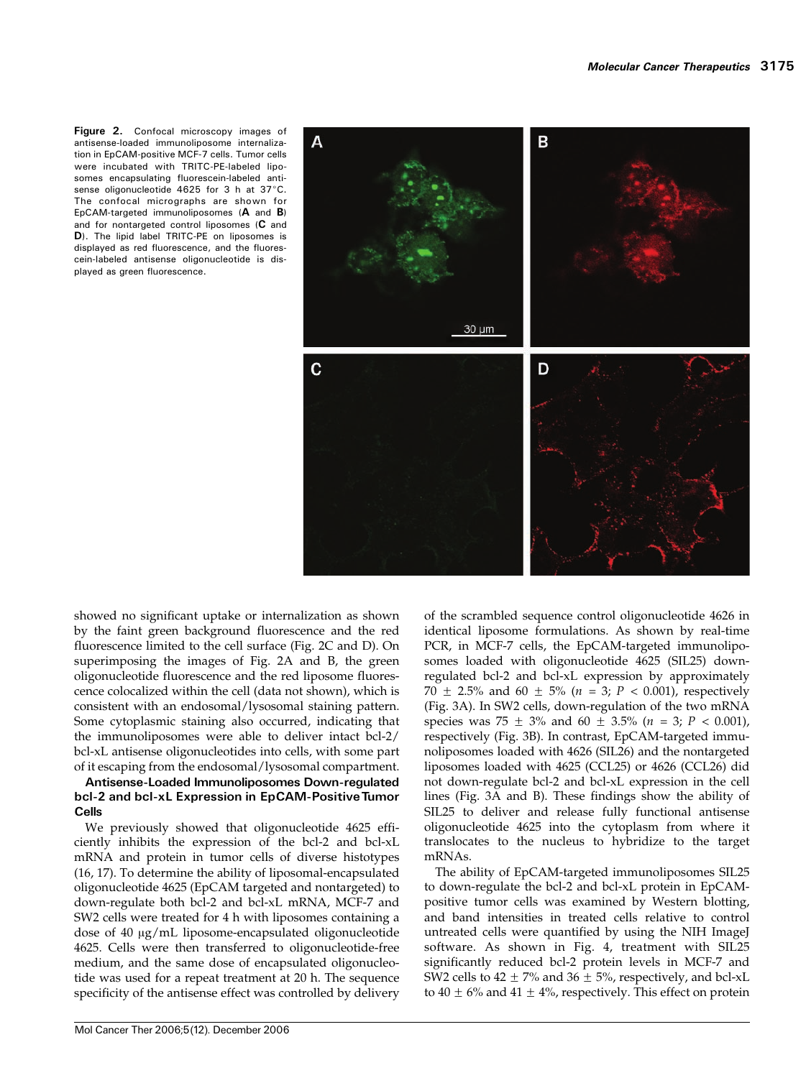Figure 2. Confocal microscopy images of antisense-loaded immunoliposome internalization in EpCAM-positive MCF-7 cells. Tumor cells were incubated with TRITC-PE-labeled liposomes encapsulating fluorescein-labeled antisense oligonucleotide  $4625$  for 3 h at  $37^{\circ}$ C. The confocal micrographs are shown for EpCAM-targeted immunoliposomes (A and B) and for nontargeted control liposomes (C and D). The lipid label TRITC-PE on liposomes is displayed as red fluorescence, and the fluorescein-labeled antisense oligonucleotide is displayed as green fluorescence.



showed no significant uptake or internalization as shown by the faint green background fluorescence and the red fluorescence limited to the cell surface (Fig. 2C and D). On superimposing the images of Fig. 2A and B, the green oligonucleotide fluorescence and the red liposome fluorescence colocalized within the cell (data not shown), which is consistent with an endosomal/lysosomal staining pattern. Some cytoplasmic staining also occurred, indicating that the immunoliposomes were able to deliver intact bcl-2/ bcl-xL antisense oligonucleotides into cells, with some part of it escaping from the endosomal/lysosomal compartment.

# Antisense-Loaded Immunoliposomes Down-regulated bcl-2 and bcl-xL Expression in EpCAM-PositiveTumor Cells

We previously showed that oligonucleotide 4625 efficiently inhibits the expression of the bcl-2 and bcl-xL mRNA and protein in tumor cells of diverse histotypes (16, 17). To determine the ability of liposomal-encapsulated oligonucleotide 4625 (EpCAM targeted and nontargeted) to down-regulate both bcl-2 and bcl-xL mRNA, MCF-7 and SW2 cells were treated for 4h with liposomes containing a dose of 40  $\mu$ g/mL liposome-encapsulated oligonucleotide 4625. Cells were then transferred to oligonucleotide-free medium, and the same dose of encapsulated oligonucleotide was used for a repeat treatment at 20 h. The sequence specificity of the antisense effect was controlled by delivery identical liposome formulations. As shown by real-time PCR, in MCF-7 cells, the EpCAM-targeted immunoliposomes loaded with oligonucleotide 4625 (SIL25) downregulated bcl-2 and bcl-xL expression by approximately 70  $\pm$  2.5% and 60  $\pm$  5% (n = 3; P < 0.001), respectively (Fig. 3A). In SW2 cells, down-regulation of the two mRNA species was  $75 \pm 3\%$  and  $60 \pm 3.5\%$  ( $n = 3$ ;  $P < 0.001$ ), respectively (Fig. 3B). In contrast, EpCAM-targeted immunoliposomes loaded with 4626 (SIL26) and the nontargeted liposomes loaded with 4625 (CCL25) or 4626 (CCL26) did not down-regulate bcl-2 and bcl-xL expression in the cell lines (Fig. 3A and B). These findings show the ability of SIL25 to deliver and release fully functional antisense oligonucleotide 4625 into the cytoplasm from where it translocates to the nucleus to hybridize to the target mRNAs.

of the scrambled sequence control oligonucleotide 4626 in

The ability of EpCAM-targeted immunoliposomes SIL25 to down-regulate the bcl-2 and bcl-xL protein in EpCAMpositive tumor cells was examined by Western blotting, and band intensities in treated cells relative to control untreated cells were quantified by using the NIH ImageJ software. As shown in Fig. 4, treatment with SIL25 significantly reduced bcl-2 protein levels in MCF-7 and SW2 cells to  $42 \pm 7\%$  and  $36 \pm 5\%$ , respectively, and bcl-xL to  $40 \pm 6\%$  and  $41 \pm 4\%$ , respectively. This effect on protein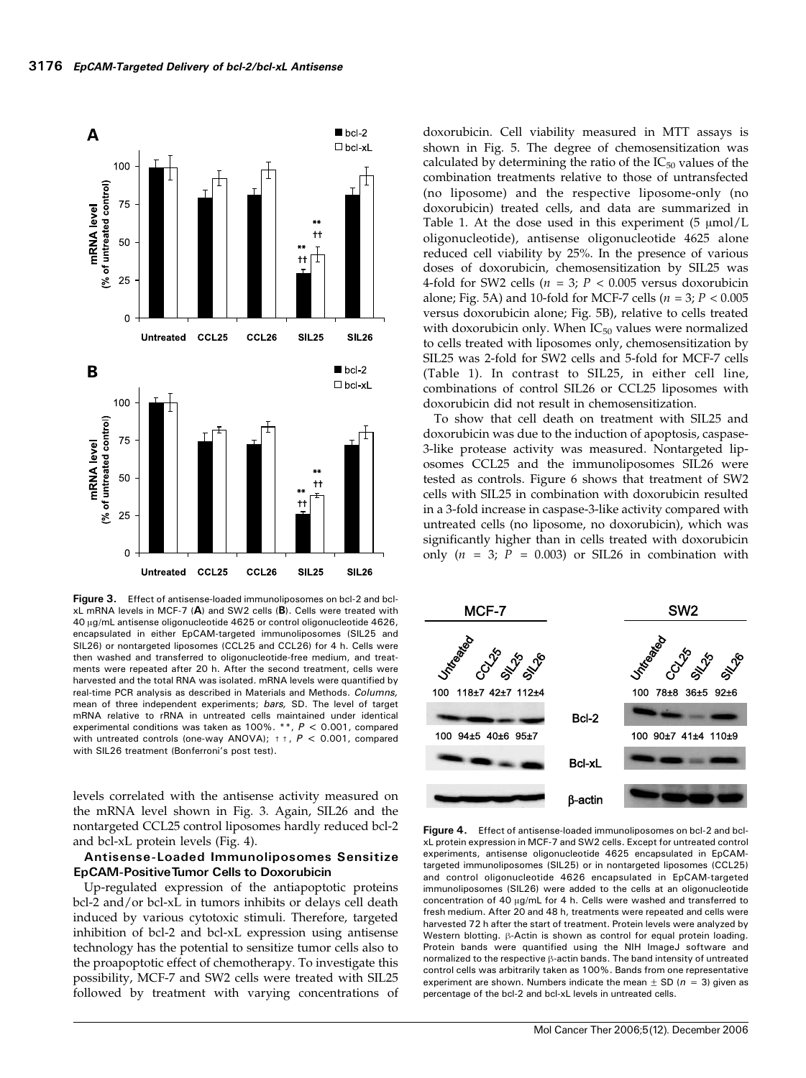

Figure 3. Effect of antisense-loaded immunoliposomes on bcl-2 and bclxL mRNA levels in MCF-7 (A) and SW2 cells (B). Cells were treated with 40 Ag/mL antisense oligonucleotide 4625 or control oligonucleotide 4626, encapsulated in either EpCAM-targeted immunoliposomes (SIL25 and SIL26) or nontargeted liposomes (CCL25 and CCL26) for 4 h. Cells were then washed and transferred to oligonucleotide-free medium, and treatments were repeated after 20 h. After the second treatment, cells were harvested and the total RNA was isolated. mRNA levels were quantified by real-time PCR analysis as described in Materials and Methods. Columns, mean of three independent experiments; bars, SD. The level of target mRNA relative to rRNA in untreated cells maintained under identical experimental conditions was taken as  $100\%$ . \*\*,  $P < 0.001$ , compared with untreated controls (one-way ANOVA);  $+$   $+$ ,  $P$  < 0.001, compared with SIL26 treatment (Bonferroni's post test).

levels correlated with the antisense activity measured on the mRNA level shown in Fig. 3. Again, SIL26 and the nontargeted CCL25 control liposomes hardly reduced bcl-2 and bcl-xL protein levels (Fig. 4).

# Antisense-Loaded Immunoliposomes Sensitize EpCAM-PositiveTumor Cells to Doxorubicin

Up-regulated expression of the antiapoptotic proteins bcl-2 and/or bcl-xL in tumors inhibits or delays cell death induced by various cytotoxic stimuli. Therefore, targeted inhibition of bcl-2 and bcl-xL expression using antisense technology has the potential to sensitize tumor cells also to the proapoptotic effect of chemotherapy. To investigate this possibility, MCF-7 and SW2 cells were treated with SIL25 followed by treatment with varying concentrations of doxorubicin. Cell viability measured in MTT assays is shown in Fig. 5. The degree of chemosensitization was calculated by determining the ratio of the  $IC_{50}$  values of the combination treatments relative to those of untransfected (no liposome) and the respective liposome-only (no doxorubicin) treated cells, and data are summarized in Table 1. At the dose used in this experiment  $(5 \mu \text{mol/L})$ oligonucleotide), antisense oligonucleotide 4625 alone reduced cell viability by 25%. In the presence of various doses of doxorubicin, chemosensitization by SIL25 was 4-fold for SW2 cells ( $n = 3$ ;  $P < 0.005$  versus doxorubicin alone; Fig. 5A) and 10-fold for MCF-7 cells ( $n = 3$ ;  $P < 0.005$ ) versus doxorubicin alone; Fig. 5B), relative to cells treated with doxorubicin only. When  $IC_{50}$  values were normalized to cells treated with liposomes only, chemosensitization by SIL25 was 2-fold for SW2 cells and 5-fold for MCF-7 cells (Table 1). In contrast to SIL25, in either cell line, combinations of control SIL26 or CCL25 liposomes with doxorubicin did not result in chemosensitization.

To show that cell death on treatment with SIL25 and doxorubicin was due to the induction of apoptosis, caspase-3-like protease activity was measured. Nontargeted liposomes CCL25 and the immunoliposomes SIL26 were tested as controls. Figure 6 shows that treatment of SW2 cells with SIL25 in combination with doxorubicin resulted in a 3-fold increase in caspase-3-like activity compared with untreated cells (no liposome, no doxorubicin), which was significantly higher than in cells treated with doxorubicin only  $(n = 3; P = 0.003)$  or SIL26 in combination with



Figure 4. Effect of antisense-loaded immunoliposomes on bcl-2 and bclxL protein expression in MCF-7 and SW2 cells. Except for untreated control experiments, antisense oligonucleotide 4625 encapsulated in EpCAMtargeted immunoliposomes (SIL25) or in nontargeted liposomes (CCL25) and control oligonucleotide 4626 encapsulated in EpCAM-targeted immunoliposomes (SIL26) were added to the cells at an oligonucleotide concentration of 40  $\mu$ g/mL for 4 h. Cells were washed and transferred to fresh medium. After 20 and 48 h, treatments were repeated and cells were harvested 72 h after the start of treatment. Protein levels were analyzed by Western blotting.  $\beta$ -Actin is shown as control for equal protein loading. Protein bands were quantified using the NIH ImageJ software and normalized to the respective  $\beta$ -actin bands. The band intensity of untreated control cells was arbitrarily taken as 100%. Bands from one representative experiment are shown. Numbers indicate the mean  $+$  SD ( $n = 3$ ) given as percentage of the bcl-2 and bcl-xL levels in untreated cells.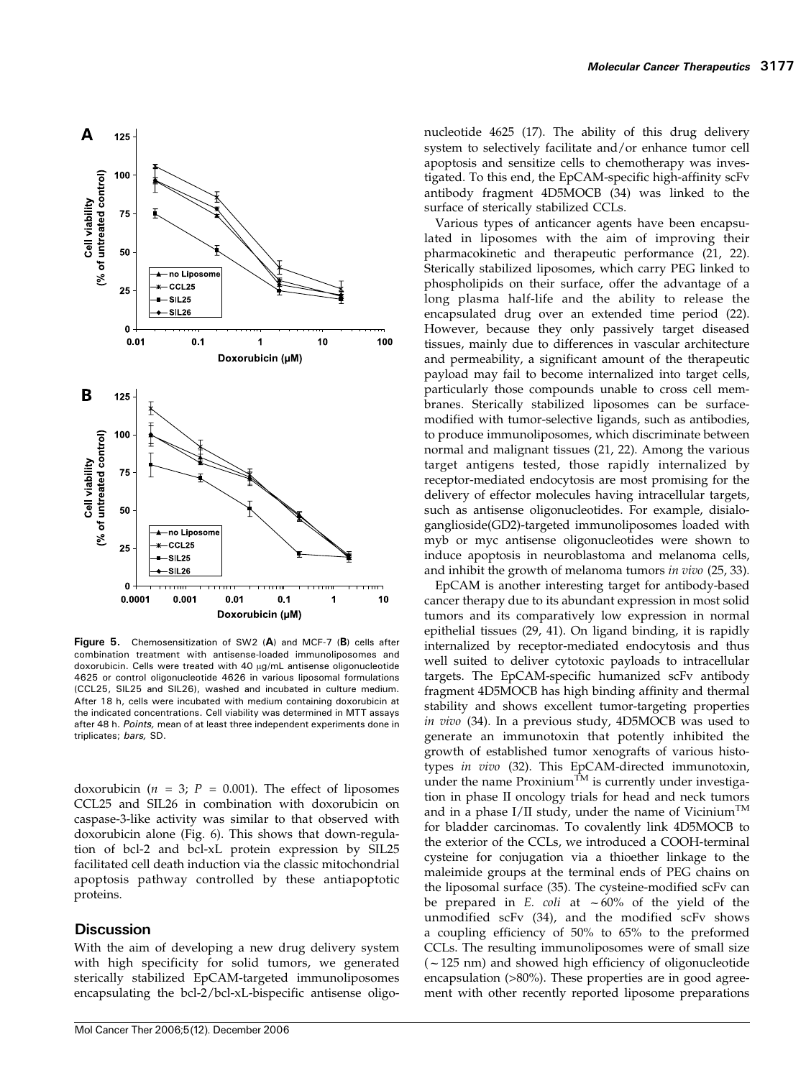

Figure 5. Chemosensitization of SW2 (A) and MCF-7 (B) cells after combination treatment with antisense-loaded immunoliposomes and doxorubicin. Cells were treated with 40 µg/mL antisense oligonucleotide 4625 or control oligonucleotide 4626 in various liposomal formulations (CCL25, SIL25 and SIL26), washed and incubated in culture medium. After 18 h, cells were incubated with medium containing doxorubicin at the indicated concentrations. Cell viability was determined in MTT assays after 48 h. Points, mean of at least three independent experiments done in triplicates; bars, SD.

doxorubicin ( $n = 3$ ;  $P = 0.001$ ). The effect of liposomes CCL25 and SIL26 in combination with doxorubicin on caspase-3-like activity was similar to that observed with doxorubicin alone (Fig. 6). This shows that down-regulation of bcl-2 and bcl-xL protein expression by SIL25 facilitated cell death induction via the classic mitochondrial apoptosis pathway controlled by these antiapoptotic proteins.

# **Discussion**

With the aim of developing a new drug delivery system with high specificity for solid tumors, we generated sterically stabilized EpCAM-targeted immunoliposomes encapsulating the bcl-2/bcl-xL-bispecific antisense oligonucleotide 4625 (17). The ability of this drug delivery system to selectively facilitate and/or enhance tumor cell apoptosis and sensitize cells to chemotherapy was investigated. To this end, the EpCAM-specific high-affinity scFv antibody fragment 4D5MOCB (34) was linked to the surface of sterically stabilized CCLs.

Various types of anticancer agents have been encapsulated in liposomes with the aim of improving their pharmacokinetic and therapeutic performance (21, 22). Sterically stabilized liposomes, which carry PEG linked to phospholipids on their surface, offer the advantage of a long plasma half-life and the ability to release the encapsulated drug over an extended time period (22). However, because they only passively target diseased tissues, mainly due to differences in vascular architecture and permeability, a significant amount of the therapeutic payload may fail to become internalized into target cells, particularly those compounds unable to cross cell membranes. Sterically stabilized liposomes can be surfacemodified with tumor-selective ligands, such as antibodies, to produce immunoliposomes, which discriminate between normal and malignant tissues (21, 22). Among the various target antigens tested, those rapidly internalized by receptor-mediated endocytosis are most promising for the delivery of effector molecules having intracellular targets, such as antisense oligonucleotides. For example, disialoganglioside(GD2)-targeted immunoliposomes loaded with myb or myc antisense oligonucleotides were shown to induce apoptosis in neuroblastoma and melanoma cells, and inhibit the growth of melanoma tumors in vivo (25, 33).

EpCAM is another interesting target for antibody-based cancer therapy due to its abundant expression in most solid tumors and its comparatively low expression in normal epithelial tissues (29, 41). On ligand binding, it is rapidly internalized by receptor-mediated endocytosis and thus well suited to deliver cytotoxic payloads to intracellular targets. The EpCAM-specific humanized scFv antibody fragment 4D5MOCB has high binding affinity and thermal stability and shows excellent tumor-targeting properties in vivo (34). In a previous study, 4D5MOCB was used to generate an immunotoxin that potently inhibited the growth of established tumor xenografts of various histotypes in vivo (32). This EpCAM-directed immunotoxin, under the name Proxinium<sup>TM</sup> is currently under investigation in phase II oncology trials for head and neck tumors and in a phase I/II study, under the name of Vicinium<sup>TM</sup> for bladder carcinomas. To covalently link 4D5MOCB to the exterior of the CCLs, we introduced a COOH-terminal cysteine for conjugation via a thioether linkage to the maleimide groups at the terminal ends of PEG chains on the liposomal surface (35). The cysteine-modified scFv can be prepared in E. coli at  $\sim 60\%$  of the yield of the unmodified scFv (34), and the modified scFv shows a coupling efficiency of 50% to 65% to the preformed CCLs. The resulting immunoliposomes were of small size  $(-125 \text{ nm})$  and showed high efficiency of oligonucleotide encapsulation (>80%). These properties are in good agreement with other recently reported liposome preparations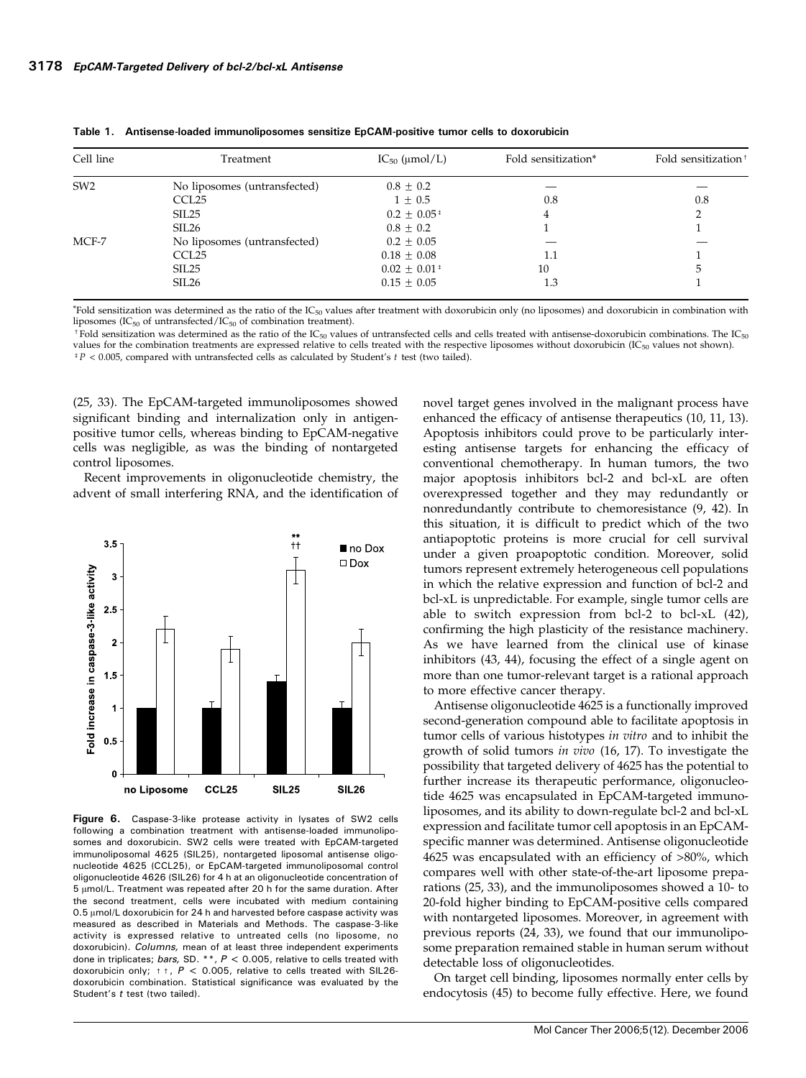| Cell line       | Treatment                    | $IC_{50}$ (µmol/L)          | Fold sensitization* | Fold sensitization <sup>†</sup> |
|-----------------|------------------------------|-----------------------------|---------------------|---------------------------------|
| SW <sub>2</sub> | No liposomes (untransfected) | $0.8 \pm 0.2$               |                     |                                 |
|                 | CCL <sub>25</sub>            | $1 \pm 0.5$                 | 0.8                 | 0.8                             |
|                 | SIL25                        | $0.2 \pm 0.05^{\,\text{*}}$ | 4                   |                                 |
|                 | SIL26                        | $0.8 \pm 0.2$               |                     |                                 |
| MCF-7           | No liposomes (untransfected) | $0.2 \pm 0.05$              |                     |                                 |
|                 | CCL <sub>25</sub>            | $0.18 \pm 0.08$             | 1.1                 |                                 |
|                 | SIL25                        | $0.02 \pm 0.01^{\text{+}}$  | 10                  |                                 |
|                 | SIL <sub>26</sub>            | $0.15 \pm 0.05$             | 1.3                 |                                 |

Table 1. Antisense-loaded immunoliposomes sensitize EpCAM-positive tumor cells to doxorubicin

 $*$ Fold sensitization was determined as the ratio of the IC<sub>50</sub> values after treatment with doxorubicin only (no liposomes) and doxorubicin in combination with liposomes (IC $_{50}$  of untransfected/IC $_{50}$  of combination treatment).

<sup>†</sup>Fold sensitization was determined as the ratio of the IC<sub>50</sub> values of untransfected cells and cells treated with antisense-doxorubicin combinations. The IC<sub>50</sub> values for the combination treatments are expressed relative to cells treated with the respective liposomes without doxorubicin (IC $_{50}$  values not shown).  $^{\ddagger}P < 0.005$ , compared with untransfected cells as calculated by Student's  $t$  test (two tailed).

(25, 33). The EpCAM-targeted immunoliposomes showed significant binding and internalization only in antigenpositive tumor cells, whereas binding to EpCAM-negative cells was negligible, as was the binding of nontargeted control liposomes.

Recent improvements in oligonucleotide chemistry, the advent of small interfering RNA, and the identification of



Figure 6. Caspase-3-like protease activity in lysates of SW2 cells following a combination treatment with antisense-loaded immunoliposomes and doxorubicin. SW2 cells were treated with EpCAM-targeted immunoliposomal 4625 (SIL25), nontargeted liposomal antisense oligonucleotide 4625 (CCL25), or EpCAM-targeted immunoliposomal control oligonucleotide 4626 (SIL26) for 4 h at an oligonucleotide concentration of  $5 \mu$ mol/L. Treatment was repeated after 20 h for the same duration. After the second treatment, cells were incubated with medium containing  $0.5 \mu$ mol/L doxorubicin for 24 h and harvested before caspase activity was measured as described in Materials and Methods. The caspase-3-like activity is expressed relative to untreated cells (no liposome, no doxorubicin). Columns, mean of at least three independent experiments done in triplicates; bars, SD. \*\*,  $P < 0.005$ , relative to cells treated with doxorubicin only;  $t + R < 0.005$ , relative to cells treated with SIL26doxorubicin combination. Statistical significance was evaluated by the Student's t test (two tailed).

novel target genes involved in the malignant process have enhanced the efficacy of antisense therapeutics (10, 11, 13). Apoptosis inhibitors could prove to be particularly interesting antisense targets for enhancing the efficacy of conventional chemotherapy. In human tumors, the two major apoptosis inhibitors bcl-2 and bcl-xL are often overexpressed together and they may redundantly or nonredundantly contribute to chemoresistance (9, 42). In this situation, it is difficult to predict which of the two antiapoptotic proteins is more crucial for cell survival under a given proapoptotic condition. Moreover, solid tumors represent extremely heterogeneous cell populations in which the relative expression and function of bcl-2 and bcl-xL is unpredictable. For example, single tumor cells are able to switch expression from bcl-2 to bcl-xL (42), confirming the high plasticity of the resistance machinery. As we have learned from the clinical use of kinase inhibitors (43, 44), focusing the effect of a single agent on more than one tumor-relevant target is a rational approach to more effective cancer therapy.

Antisense oligonucleotide 4625 is a functionally improved second-generation compound able to facilitate apoptosis in tumor cells of various histotypes in vitro and to inhibit the growth of solid tumors in vivo (16, 17). To investigate the possibility that targeted delivery of 4625 has the potential to further increase its therapeutic performance, oligonucleotide 4625 was encapsulated in EpCAM-targeted immunoliposomes, and its ability to down-regulate bcl-2 and bcl-xL expression and facilitate tumor cell apoptosis in an EpCAMspecific manner was determined. Antisense oligonucleotide 4625 was encapsulated with an efficiency of >80%, which compares well with other state-of-the-art liposome preparations (25, 33), and the immunoliposomes showed a 10- to 20-fold higher binding to EpCAM-positive cells compared with nontargeted liposomes. Moreover, in agreement with previous reports (24, 33), we found that our immunoliposome preparation remained stable in human serum without detectable loss of oligonucleotides.

On target cell binding, liposomes normally enter cells by endocytosis (45) to become fully effective. Here, we found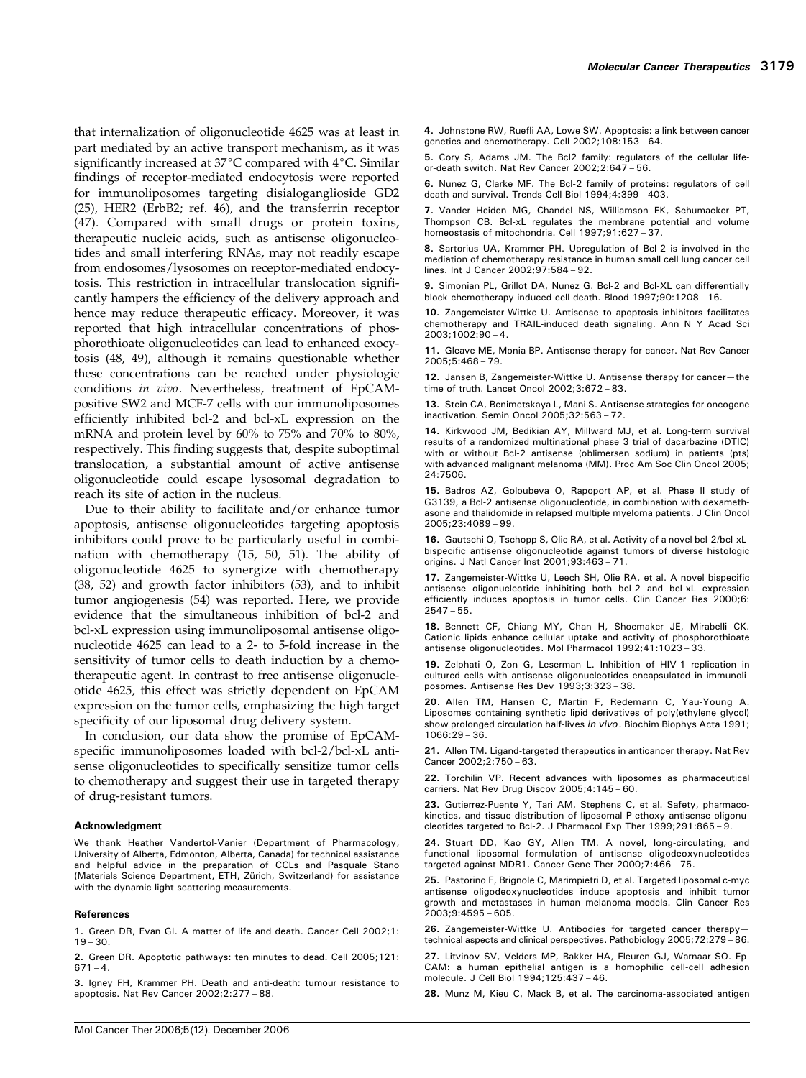that internalization of oligonucleotide 4625 was at least in part mediated by an active transport mechanism, as it was significantly increased at  $37^{\circ}$ C compared with  $4^{\circ}$ C. Similar findings of receptor-mediated endocytosis were reported for immunoliposomes targeting disialoganglioside GD2 (25), HER2 (ErbB2; ref. 46), and the transferrin receptor (47). Compared with small drugs or protein toxins, therapeutic nucleic acids, such as antisense oligonucleotides and small interfering RNAs, may not readily escape from endosomes/lysosomes on receptor-mediated endocytosis. This restriction in intracellular translocation significantly hampers the efficiency of the delivery approach and hence may reduce therapeutic efficacy. Moreover, it was reported that high intracellular concentrations of phosphorothioate oligonucleotides can lead to enhanced exocytosis (48, 49), although it remains questionable whether these concentrations can be reached under physiologic conditions in vivo. Nevertheless, treatment of EpCAMpositive SW2 and MCF-7 cells with our immunoliposomes efficiently inhibited bcl-2 and bcl-xL expression on the mRNA and protein level by 60% to 75% and 70% to 80%, respectively. This finding suggests that, despite suboptimal translocation, a substantial amount of active antisense oligonucleotide could escape lysosomal degradation to reach its site of action in the nucleus.

Due to their ability to facilitate and/or enhance tumor apoptosis, antisense oligonucleotides targeting apoptosis inhibitors could prove to be particularly useful in combination with chemotherapy (15, 50, 51). The ability of oligonucleotide 4625 to synergize with chemotherapy (38, 52) and growth factor inhibitors (53), and to inhibit tumor angiogenesis (54) was reported. Here, we provide evidence that the simultaneous inhibition of bcl-2 and bcl-xL expression using immunoliposomal antisense oligonucleotide 4625 can lead to a 2- to 5-fold increase in the sensitivity of tumor cells to death induction by a chemotherapeutic agent. In contrast to free antisense oligonucleotide 4625, this effect was strictly dependent on EpCAM expression on the tumor cells, emphasizing the high target specificity of our liposomal drug delivery system.

In conclusion, our data show the promise of EpCAMspecific immunoliposomes loaded with bcl-2/bcl-xL antisense oligonucleotides to specifically sensitize tumor cells to chemotherapy and suggest their use in targeted therapy of drug-resistant tumors.

#### Acknowledgment

We thank Heather Vandertol-Vanier (Department of Pharmacology, University of Alberta, Edmonton, Alberta, Canada) for technical assistance and helpful advice in the preparation of CCLs and Pasquale Stano (Materials Science Department, ETH, Zürich, Switzerland) for assistance with the dynamic light scattering measurements.

#### References

1. Green DR, Evan GI. A matter of life and death. Cancer Cell 2002;1:  $19 - 30.$ 

2. Green DR. Apoptotic pathways: ten minutes to dead. Cell 2005;121:  $671 - 4.$ 

3. Igney FH, Krammer PH. Death and anti-death: tumour resistance to apoptosis. Nat Rev Cancer 2002;2:277 – 88.

4. Johnstone RW, Ruefli AA, Lowe SW. Apoptosis: a link between cancer genetics and chemotherapy. Cell 2002;108:153 – 64.

5. Cory S, Adams JM. The Bcl2 family: regulators of the cellular lifeor-death switch. Nat Rev Cancer 2002;2:647 – 56.

6. Nunez G, Clarke MF. The Bcl-2 family of proteins: regulators of cell death and survival. Trends Cell Biol 1994;4:399 – 403.

7. Vander Heiden MG, Chandel NS, Williamson EK, Schumacker PT, Thompson CB. Bcl-xL regulates the membrane potential and volume homeostasis of mitochondria. Cell 1997;91:627 – 37.

8. Sartorius UA, Krammer PH. Upregulation of Bcl-2 is involved in the mediation of chemotherapy resistance in human small cell lung cancer cell lines. Int J Cancer 2002;97:584 – 92.

9. Simonian PL, Grillot DA, Nunez G. Bcl-2 and Bcl-XL can differentially block chemotherapy-induced cell death. Blood 1997;90:1208 – 16.

10. Zangemeister-Wittke U. Antisense to apoptosis inhibitors facilitates chemotherapy and TRAIL-induced death signaling. Ann N Y Acad Sci 2003;1002:90 – 4.

11. Gleave ME, Monia BP. Antisense therapy for cancer. Nat Rev Cancer 2005;5:468 – 79.

12. Jansen B, Zangemeister-Wittke U. Antisense therapy for cancer—the time of truth. Lancet Oncol 2002;3:672 – 83.

13. Stein CA, Benimetskaya L, Mani S. Antisense strategies for oncogene inactivation. Semin Oncol 2005;32:563 – 72.

14. Kirkwood JM, Bedikian AY, Millward MJ, et al. Long-term survival results of a randomized multinational phase 3 trial of dacarbazine (DTIC) with or without Bcl-2 antisense (oblimersen sodium) in patients (pts) with advanced malignant melanoma (MM). Proc Am Soc Clin Oncol 2005; 24:7506.

15. Badros AZ, Goloubeva O, Rapoport AP, et al. Phase II study of G3139, a Bcl-2 antisense oligonucleotide, in combination with dexamethasone and thalidomide in relapsed multiple myeloma patients. J Clin Oncol 2005;23:4089 – 99.

16. Gautschi O, Tschopp S, Olie RA, et al. Activity of a novel bcl-2/bcl-xLbispecific antisense oligonucleotide against tumors of diverse histologic origins. J Natl Cancer Inst 2001;93:463 – 71.

17. Zangemeister-Wittke U, Leech SH, Olie RA, et al. A novel bispecific antisense oligonucleotide inhibiting both bcl-2 and bcl-xL expression efficiently induces apoptosis in tumor cells. Clin Cancer Res 2000;6: 2547 – 55.

18. Bennett CF, Chiang MY, Chan H, Shoemaker JE, Mirabelli CK. Cationic lipids enhance cellular uptake and activity of phosphorothioate antisense oligonucleotides. Mol Pharmacol 1992;41:1023 – 33.

19. Zelphati O, Zon G, Leserman L. Inhibition of HIV-1 replication in cultured cells with antisense oligonucleotides encapsulated in immunoliposomes. Antisense Res Dev 1993;3:323 – 38.

20. Allen TM, Hansen C, Martin F, Redemann C, Yau-Young A. Liposomes containing synthetic lipid derivatives of poly(ethylene glycol) show prolonged circulation half-lives in vivo. Biochim Biophys Acta 1991; 1066:29 – 36.

21. Allen TM. Ligand-targeted therapeutics in anticancer therapy. Nat Rev Cancer 2002;2:750 – 63.

22. Torchilin VP. Recent advances with liposomes as pharmaceutical carriers. Nat Rev Drug Discov 2005;4:145 – 60.

23. Gutierrez-Puente Y, Tari AM, Stephens C, et al. Safety, pharmacokinetics, and tissue distribution of liposomal P-ethoxy antisense oligonucleotides targeted to Bcl-2. J Pharmacol Exp Ther 1999;291:865 – 9.

24. Stuart DD, Kao GY, Allen TM. A novel, long-circulating, and functional liposomal formulation of antisense oligodeoxynucleotides targeted against MDR1. Cancer Gene Ther 2000;7:466 – 75.

25. Pastorino F, Brignole C, Marimpietri D, et al. Targeted liposomal c-myc antisense oligodeoxynucleotides induce apoptosis and inhibit tumor growth and metastases in human melanoma models. Clin Cancer Res 2003;9:4595 – 605.

26. Zangemeister-Wittke U. Antibodies for targeted cancer therapytechnical aspects and clinical perspectives. Pathobiology 2005;72:279– 86.

27. Litvinov SV, Velders MP, Bakker HA, Fleuren GJ, Warnaar SO. Ep-CAM: a human epithelial antigen is a homophilic cell-cell adhesion molecule. J Cell Biol 1994;125:437 – 46.

28. Munz M, Kieu C, Mack B, et al. The carcinoma-associated antigen